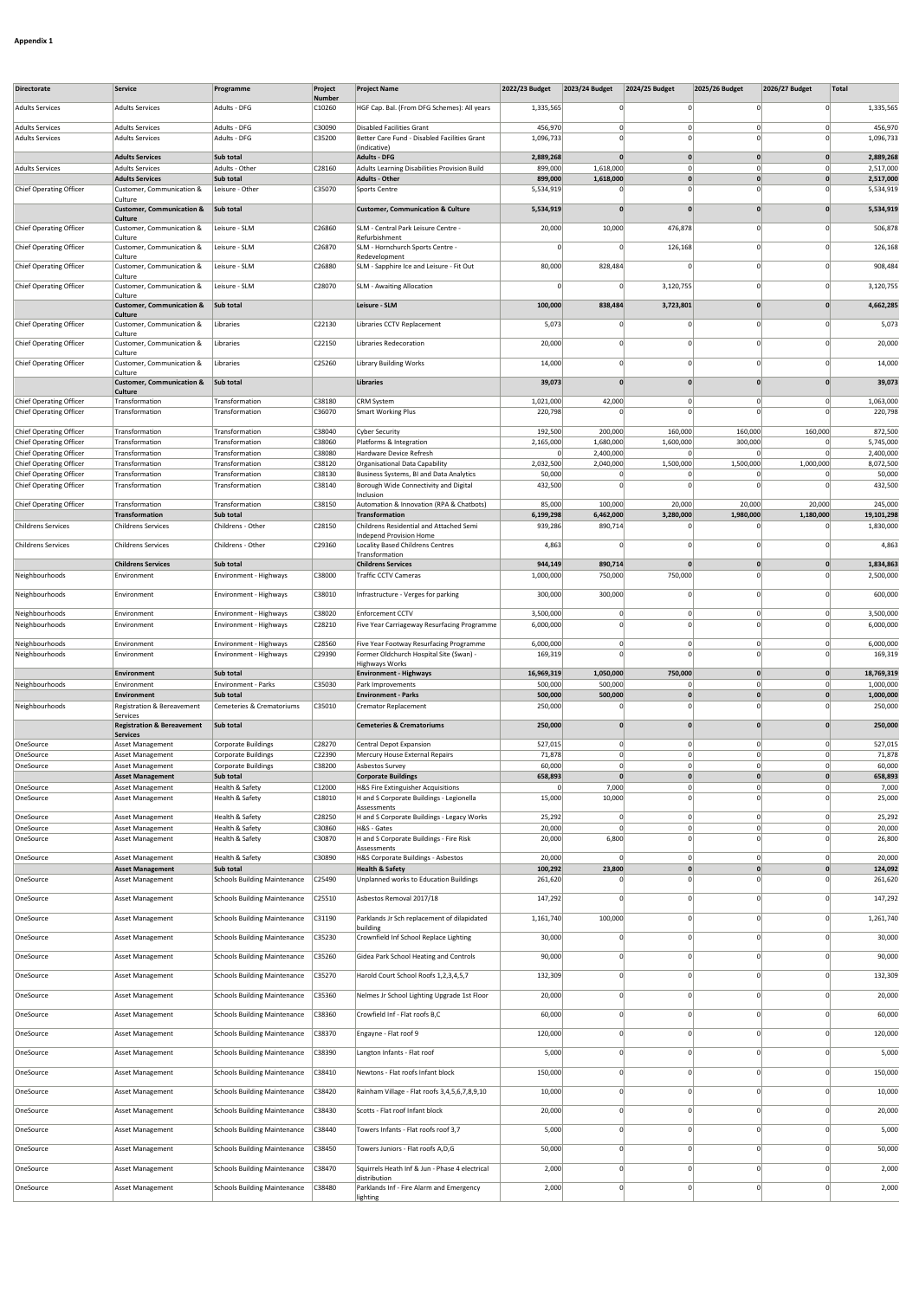| Directorate                                                      | Service                                                  | Programme                                        | Project          | <b>Project Name</b>                                                              | 2022/23 Budget         | 2023/24 Budget       | 2024/25 Budget          | 2025/26 Budget               | 2026/27 Budget                | Total                   |
|------------------------------------------------------------------|----------------------------------------------------------|--------------------------------------------------|------------------|----------------------------------------------------------------------------------|------------------------|----------------------|-------------------------|------------------------------|-------------------------------|-------------------------|
|                                                                  |                                                          |                                                  | Number           |                                                                                  |                        |                      |                         |                              |                               |                         |
| <b>Adults Services</b>                                           | <b>Adults Services</b>                                   | Adults - DFG                                     | C10260           | HGF Cap. Bal. (From DFG Schemes): All years                                      | 1,335,565              |                      | $\Omega$                |                              | $\Omega$                      | 1,335,565               |
| <b>Adults Services</b><br><b>Adults Services</b>                 | <b>Adults Services</b><br><b>Adults Services</b>         | Adults - DFG<br>Adults - DFG                     | C30090<br>C35200 | <b>Disabled Facilities Grant</b><br>Better Care Fund - Disabled Facilities Grant | 456,970<br>1,096,733   | $\mathbf 0$<br>n     | $\Omega$<br>$\Omega$    | $\mathbf 0$<br>$\Omega$      | $\overline{0}$<br>$\mathbf 0$ | 456,970<br>1,096,733    |
|                                                                  | <b>Adults Services</b>                                   | Sub total                                        |                  | (indicative)<br><b>Adults - DFG</b>                                              | 2,889,268              | $\mathbf{0}$         | $\mathbf{0}$            | $\mathbf{0}$                 | $\mathbf{0}$                  | 2,889,268               |
| <b>Adults Services</b>                                           | <b>Adults Services</b>                                   | Adults - Other                                   | C28160           | Adults Learning Disabilities Provision Build                                     | 899,000                | 1,618,000            | 0                       | $\Omega$                     | $\overline{0}$                | 2,517,000               |
| Chief Operating Officer                                          | <b>Adults Services</b><br>Customer, Communication &      | Sub total<br>Leisure - Other                     | C35070           | <b>Adults - Other</b><br><b>Sports Centre</b>                                    | 899,000<br>5,534,919   | 1,618,000            | 0 <br>$\mathbf 0$       | $\mathbf{0}$                 | $\mathbf{0}$<br>$\Omega$      | 2,517,000<br>5,534,919  |
|                                                                  | Culture                                                  |                                                  |                  |                                                                                  |                        | $\Omega$             | $\mathbf{0}$            | $\Omega$                     | $\mathbf{0}$                  |                         |
|                                                                  | <b>Customer, Communication &amp;</b><br>Culture          | Sub total                                        |                  | <b>Customer, Communication &amp; Culture</b>                                     | 5,534,919              |                      |                         |                              |                               | 5,534,919               |
| <b>Chief Operating Officer</b>                                   | Customer, Communication &<br>Culture                     | Leisure - SLM                                    | C26860           | SLM - Central Park Leisure Centre -<br>Refurbishment                             | 20,000                 | 10,000               | 476,878                 | $\Omega$                     | $\Omega$                      | 506,878                 |
| <b>Chief Operating Officer</b>                                   | Customer, Communication &<br>Culture                     | Leisure - SLM                                    | C26870           | SLM - Hornchurch Sports Centre -<br>Redevelopment                                |                        | $\Omega$             | 126,168                 | $\circ$                      | $\mathbf 0$                   | 126,168                 |
| Chief Operating Officer                                          | Customer, Communication &                                | Leisure - SLM                                    | C26880           | SLM - Sapphire Ice and Leisure - Fit Out                                         | 80,000                 | 828,484              | 0                       | $\Omega$                     | $\Omega$                      | 908,484                 |
| Chief Operating Officer                                          | Culture<br>Customer, Communication &                     | Leisure - SLM                                    | C28070           | <b>SLM - Awaiting Allocation</b>                                                 | $\Omega$               | $\Omega$             | 3,120,755               | $\Omega$                     | $\mathbf 0$                   | 3,120,755               |
|                                                                  | Culture<br><b>Customer, Communication &amp;</b>          | Sub total                                        |                  | Leisure - SLM                                                                    | 100,000                | 838,484              | 3,723,801               | $\mathbf{0}$                 | $\mathbf{0}$                  | 4,662,285               |
| Chief Operating Officer                                          | <b>Culture</b><br>Customer, Communication &              | Libraries                                        | C22130           | Libraries CCTV Replacement                                                       | 5,073                  | $\Omega$             | $\Omega$                | $\Omega$                     | $\Omega$                      | 5,073                   |
| Chief Operating Officer                                          | Culture<br>Customer, Communication &                     | Libraries                                        | C22150           | Libraries Redecoration                                                           | 20,000                 | n                    | $\Omega$                | $\Omega$                     | $\Omega$                      | 20,000                  |
|                                                                  | Culture                                                  |                                                  |                  |                                                                                  |                        |                      |                         |                              |                               |                         |
| <b>Chief Operating Officer</b>                                   | Customer, Communication &<br>Culture                     | Libraries                                        | C25260           | <b>Library Building Works</b>                                                    | 14,000                 | $\Omega$             | $\Omega$                | $\Omega$                     | $\mathbf 0$                   | 14,000                  |
|                                                                  | <b>Customer, Communication &amp;</b><br>Culture          | Sub total                                        |                  | <b>Libraries</b>                                                                 | 39,073                 | $\mathbf{0}$         | $\mathbf{0}$            | $\mathbf{0}$                 | $\mathbf{0}$                  | 39,073                  |
| Chief Operating Officer                                          | Transformation                                           | Transformation                                   | C38180           | <b>CRM System</b>                                                                | 1,021,000              | 42,000               | $\circ$<br>$\Omega$     | $\circ$                      | $\overline{0}$                | 1,063,000               |
| Chief Operating Officer                                          | Transformation                                           | Transformation                                   | C36070           | <b>Smart Working Plus</b>                                                        | 220,798                |                      |                         |                              |                               | 220,798                 |
| <b>Chief Operating Officer</b><br><b>Chief Operating Officer</b> | Transformation<br>Transformation                         | Transformation<br>Transformation                 | C38040<br>C38060 | <b>Cyber Security</b><br>Platforms & Integration                                 | 192,500<br>2,165,000   | 200,000<br>1,680,000 | 160,000<br>1,600,000    | 160,000<br>300,000           | 160,000<br>$\Omega$           | 872,500<br>5,745,000    |
| <b>Chief Operating Officer</b>                                   | Transformation                                           | Transformation                                   | C38080           | Hardware Device Refresh                                                          | $\mathbf 0$            | 2,400,000            | $\mathbf 0$             |                              | $\overline{0}$                | 2,400,000               |
| Chief Operating Officer<br>Chief Operating Officer               | Transformation<br>Transformation                         | Transformation<br>Transformation                 | C38120<br>C38130 | Organisational Data Capability<br>Business Systems, BI and Data Analytics        | 2,032,500<br>50,000    | 2,040,000<br>0       | 1,500,000<br>$\Omega$   | 1,500,000                    | 1,000,000<br>$\Omega$         | 8,072,500<br>50,000     |
| <b>Chief Operating Officer</b>                                   | Transformation                                           | Transformation                                   | C38140           | Borough Wide Connectivity and Digital                                            | 432,500                | n                    | $\Omega$                |                              | $\Omega$                      | 432,500                 |
| Chief Operating Officer                                          | Transformation                                           | Transformation                                   | C38150           | Inclusion<br>Automation & Innovation (RPA & Chatbots)                            | 85,000                 | 100,000              | 20,000                  | 20,000                       | 20,000                        | 245,000                 |
| <b>Childrens Services</b>                                        | <b>Transformation</b><br><b>Childrens Services</b>       | Sub total<br>Childrens - Other                   | C28150           | Transformation<br>Childrens Residential and Attached Semi                        | 6,199,298<br>939,286   | 6,462,000<br>890,714 | 3,280,000<br>0          | 1,980,000                    | 1,180,000                     | 19,101,298<br>1,830,000 |
|                                                                  |                                                          |                                                  |                  | Independ Provision Home                                                          |                        |                      |                         |                              |                               |                         |
| <b>Childrens Services</b>                                        | <b>Childrens Services</b>                                | Childrens - Other                                | C29360           | <b>Locality Based Childrens Centres</b><br>Transformation                        | 4,863                  | $\Omega$             | $\Omega$                | $\Omega$                     | $\Omega$                      | 4,863                   |
| Neighbourhoods                                                   | <b>Childrens Services</b><br>Environment                 | Sub total<br>Environment - Highways              | C38000           | <b>Childrens Services</b><br><b>Traffic CCTV Cameras</b>                         | 944,149<br>1,000,000   | 890,714<br>750,000   | $\mathbf{0}$<br>750,000 | $\mathbf{0}$<br>$\Omega$     | $\mathbf{0}$<br>$\Omega$      | 1,834,863<br>2,500,000  |
| Neighbourhoods                                                   | Environment                                              | Environment - Highways                           | C38010           |                                                                                  | 300,000                | 300,000              | $\mathbf 0$             | $\Omega$                     | $\mathbf 0$                   | 600,000                 |
|                                                                  |                                                          |                                                  |                  | Infrastructure - Verges for parking                                              |                        |                      |                         |                              |                               |                         |
| Neighbourhoods<br>Neighbourhoods                                 | Environment<br>Environment                               | Environment - Highways<br>Environment - Highways | C38020<br>C28210 | Enforcement CCTV<br>Five Year Carriageway Resurfacing Programme                  | 3,500,000<br>6,000,000 | $\Omega$<br>$\Omega$ | 0 <br>$\Omega$          | $\Omega$                     | $\mathbf{0}$<br>$\mathbf 0$   | 3,500,000<br>6,000,000  |
| Neighbourhoods                                                   | Environment                                              | Environment - Highways                           | C28560           | Five Year Footway Resurfacing Programme                                          | 6,000,000              | $\overline{0}$       | $\Omega$                | $\Omega$                     | $\overline{0}$                | 6,000,000               |
| Neighbourhoods                                                   | Environment                                              | Environment - Highways                           | C29390           | Former Oldchurch Hospital Site (Swan) -                                          | 169,319                |                      | $\mathbf 0$             | $\Omega$                     | $\Omega$                      | 169,319                 |
|                                                                  |                                                          | Sub total                                        |                  | Highways Works                                                                   |                        |                      |                         |                              |                               |                         |
|                                                                  |                                                          |                                                  |                  |                                                                                  | 16,969,319             | 1,050,000            | 750,000                 | 0                            | $\mathbf{0}$                  | 18,769,319              |
| Neighbourhoods                                                   | Environment<br>Environment                               | Environment - Parks                              | C35030           | <b>Environment - Highways</b><br>Park Improvements                               | 500,000                | 500,000              | $\Omega$                | $\Omega$                     | $\mathbf{0}$                  | 1,000,000               |
| Neighbourhoods                                                   | Environment<br><b>Registration &amp; Bereavement</b>     | Sub total<br>Cemeteries & Crematoriums           | C35010           | <b>Environment - Parks</b><br>Cremator Replacement                               | 500,000<br>250,000     | 500,000              | 0 <br>$\Omega$          | $\mathbf{0}$<br>$\mathsf{C}$ | $\mathbf{0}$<br>$\mathbf 0$   | 1,000,000<br>250,000    |
|                                                                  | Services                                                 |                                                  |                  |                                                                                  |                        |                      |                         |                              |                               |                         |
|                                                                  | <b>Registration &amp; Bereavement</b><br><b>Services</b> | Sub total                                        |                  | <b>Cemeteries &amp; Crematoriums</b>                                             | 250,000                | $\Omega$             | $\mathbf{0}$            | $\Omega$                     | $\mathbf{0}$                  | 250,000                 |
| OneSource                                                        | Asset Management                                         | Corporate Buildings                              | C28270           | Central Depot Expansion                                                          | 527,015                | $\Omega$<br>$\Omega$ | $\Omega$<br>$\Omega$    | $\circ$<br>$\Omega$          | $\Omega$<br>$\Omega$          | 527,015                 |
| OneSource<br>OneSource                                           | Asset Management<br>Asset Management                     | Corporate Buildings<br>Corporate Buildings       | C22390<br>C38200 | Mercury House External Repairs<br>Asbestos Survey                                | 71,878<br>60,000       |                      | υı                      |                              |                               | 71,878<br>60,000        |
|                                                                  | <b>Asset Management</b>                                  | Sub total                                        |                  | <b>Corporate Buildings</b>                                                       | 658,893                | $\mathbf{0}$         | 0                       | 0                            | $\mathbf{0}$                  | 658,893                 |
| OneSource<br>OneSource                                           | Asset Management<br>Asset Management                     | Health & Safety<br>Health & Safety               | C12000<br>C18010 | H&S Fire Extinguisher Acquisitions<br>H and S Corporate Buildings - Legionella   | 15,000                 | 7,000<br>10,000      | 0 <br>$\mathbf 0$       | $\Omega$<br>$\Omega$         | $\Omega$<br>$\mathbf 0$       | 7,000<br>25,000         |
| OneSource                                                        |                                                          |                                                  | C28250           | Assessments                                                                      |                        | $\mathbf 0$          | 0                       | $\Omega$                     | $\mathbf{0}$                  | 25,292                  |
| OneSource                                                        | Asset Management<br><b>Asset Management</b>              | Health & Safety<br>Health & Safety               | C30860           | H and S Corporate Buildings - Legacy Works<br>H&S - Gates                        | 25,292<br>20,000       | $\Omega$             | 0                       | $\circ$                      | $\Omega$                      | 20,000                  |
| OneSource                                                        | Asset Management                                         | Health & Safety                                  | C30870           | H and S Corporate Buildings - Fire Risk<br>Assessments                           | 20,000                 | 6,800                | $\Omega$                | $\Omega$                     | $\Omega$                      | 26,800                  |
| OneSource                                                        | Asset Management                                         | Health & Safety                                  | C30890           | H&S Corporate Buildings - Asbestos                                               | 20,000                 | $\mathbf 0$          | $\circ$                 | $\circ$                      | $\mathbf{0}$                  | 20,000                  |
| OneSource                                                        | <b>Asset Management</b><br>Asset Management              | Sub total<br><b>Schools Building Maintenance</b> | C25490           | <b>Health &amp; Safety</b><br>Unplanned works to Education Buildings             | 100,292<br>261,620     | 23,800<br>$\Omega$   | 0 <br>$\Omega$          | $\mathbf{0}$<br>$\Omega$     | $\mathbf{0}$<br>$\Omega$      | 124,092<br>261,620      |
| OneSource                                                        | Asset Management                                         | <b>Schools Building Maintenance</b>              | C25510           | Asbestos Removal 2017/18                                                         | 147,292                | n                    | $\Omega$                | $\Omega$                     | $\Omega$                      | 147,292                 |
| OneSource                                                        | Asset Management                                         | <b>Schools Building Maintenance</b>              | C31190           | Parklands Jr Sch replacement of dilapidated                                      | 1,161,740              | 100,000              | $\Omega$                | $\Omega$                     | $\overline{0}$                | 1,261,740               |
|                                                                  |                                                          |                                                  |                  | building                                                                         |                        | $\Omega$             | $\Omega$                | $\Omega$                     | $\overline{0}$                |                         |
| OneSource                                                        | Asset Management                                         | <b>Schools Building Maintenance</b>              | C35230           | Crownfield Inf School Replace Lighting                                           | 30,000                 |                      |                         |                              |                               | 30,000                  |
| OneSource                                                        | Asset Management                                         | <b>Schools Building Maintenance</b>              | C35260           | Gidea Park School Heating and Controls                                           | 90,000                 | $\Omega$             | $\Omega$                | C                            | $\Omega$                      | 90,000                  |
| OneSource                                                        | <b>Asset Management</b>                                  | <b>Schools Building Maintenance</b>              | C35270           | Harold Court School Roofs 1,2,3,4,5,7                                            | 132,309                | 0                    | $\Omega$                | $\mathbf 0$                  | $\overline{0}$                | 132,309                 |
| OneSource                                                        | Asset Management                                         | <b>Schools Building Maintenance</b>              | C35360           | Nelmes Jr School Lighting Upgrade 1st Floor                                      | 20,000                 | $\Omega$             | $\Omega$                | $\circ$                      | $\Omega$                      | 20,000                  |
| OneSource                                                        | Asset Management                                         | <b>Schools Building Maintenance</b>              | C38360           | Crowfield Inf - Flat roofs B,C                                                   | 60,000                 | $\Omega$             | $\Omega$                | $\Omega$                     | $\Omega$                      | 60,000                  |
| OneSource                                                        | Asset Management                                         | <b>Schools Building Maintenance</b>              | C38370           | Engayne - Flat roof 9                                                            | 120,000                | $\overline{0}$       | $\Omega$                | $\circ$                      | $\overline{0}$                | 120,000                 |
| OneSource                                                        | Asset Management                                         | <b>Schools Building Maintenance</b>              | C38390           | Langton Infants - Flat roof                                                      | 5,000                  | <sub>0</sub>         | $\Omega$                | $\mathbf 0$                  | $\overline{0}$                | 5,000                   |
|                                                                  |                                                          |                                                  |                  |                                                                                  |                        | $\Omega$             |                         | $\Omega$                     |                               |                         |
| OneSource                                                        | Asset Management                                         | <b>Schools Building Maintenance</b>              | C38410           | Newtons - Flat roofs Infant block                                                | 150,000                |                      | $\Omega$                |                              | $\Omega$                      | 150,000                 |
| OneSource                                                        | Asset Management                                         | <b>Schools Building Maintenance</b>              | C38420           | Rainham Village - Flat roofs 3,4,5,6,7,8,9,10                                    | 10,000                 | $\overline{0}$       | $\Omega$                | $\mathbf 0$                  | $\overline{0}$                | 10,000                  |
| OneSource                                                        | Asset Management                                         | <b>Schools Building Maintenance</b>              | C38430           | Scotts - Flat roof Infant block                                                  | 20,000                 | <sub>0</sub>         | $\Omega$                | $\Omega$                     | $\Omega$                      | 20,000                  |
| OneSource                                                        | Asset Management                                         | <b>Schools Building Maintenance</b>              | C38440           | Towers Infants - Flat roofs roof 3,7                                             | 5,000                  | <sub>0</sub>         | $\Omega$                | $\Omega$                     | $\Omega$                      | 5,000                   |
| OneSource                                                        | Asset Management                                         | <b>Schools Building Maintenance</b>              | C38450           | Towers Juniors - Flat roofs A,D,G                                                | 50,000                 | $\Omega$             | $\Omega$                | $\Omega$                     | $\mathbf 0$                   | 50,000                  |
| OneSource                                                        | Asset Management                                         | <b>Schools Building Maintenance</b>              | C38470           | Squirrels Heath Inf & Jun - Phase 4 electrical                                   | 2,000                  | $\Omega$             | $\Omega$                | $\Omega$                     | $\Omega$                      | 2,000                   |
| OneSource                                                        | Asset Management                                         | <b>Schools Building Maintenance</b>              | C38480           | distribution<br>Parklands Inf - Fire Alarm and Emergency                         | 2,000                  | $\Omega$             | $\Omega$                | $\Omega$                     | $\Omega$                      | 2,000                   |